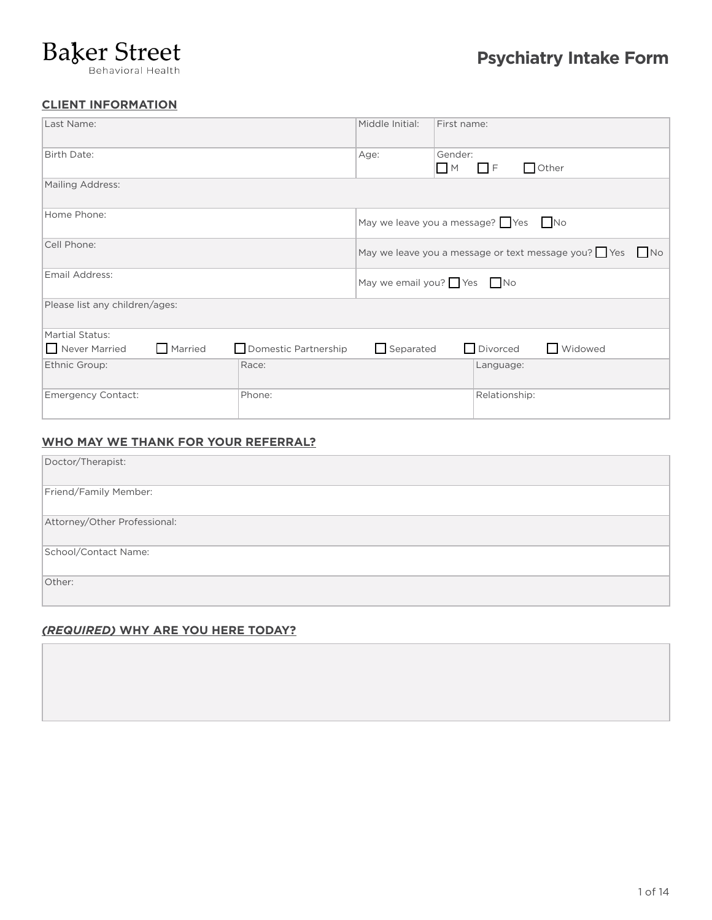# **Baker Street**

# **CLIENT INFORMATION**

| Last Name:                     |                      | Middle Initial:          | First name:                                            |  |
|--------------------------------|----------------------|--------------------------|--------------------------------------------------------|--|
| Birth Date:                    |                      | Age:                     | Gender:<br>$\Box$ Other<br>$\Box$ F<br>$\blacksquare$  |  |
| Mailing Address:               |                      |                          |                                                        |  |
| Home Phone:                    |                      |                          | May we leave you a message? $\Box$ Yes $\Box$ No       |  |
| Cell Phone:                    |                      |                          | May we leave you a message or text message you? Yes No |  |
| Email Address:                 |                      | May we email you? Yes No |                                                        |  |
| Please list any children/ages: |                      |                          |                                                        |  |
| Martial Status:                |                      |                          |                                                        |  |
| Married<br>Never Married       | Domestic Partnership | $\Box$ Separated         | Widowed<br>$\Box$ Divorced                             |  |
| Ethnic Group:                  | Race:                |                          | Language:                                              |  |
| <b>Emergency Contact:</b>      | Phone:               |                          | Relationship:                                          |  |

# **WHO MAY WE THANK FOR YOUR REFERRAL?**

| Doctor/Therapist:            |
|------------------------------|
| Friend/Family Member:        |
| Attorney/Other Professional: |
| School/Contact Name:         |
| Other:                       |

# *(REQUIRED)* **WHY ARE YOU HERE TODAY?**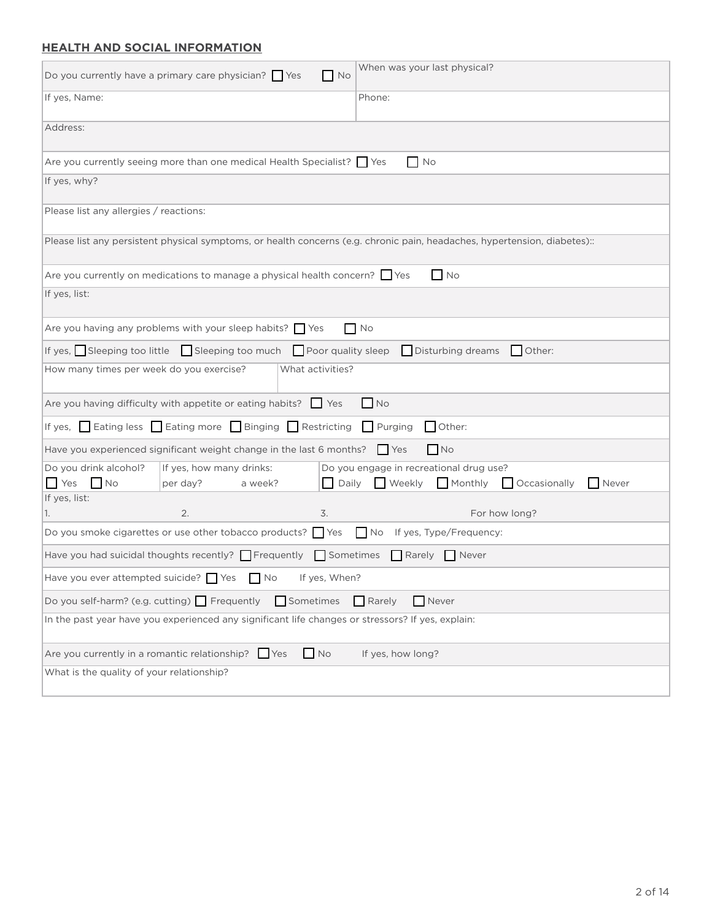# **HEALTH AND SOCIAL INFORMATION**

| Do you currently have a primary care physician? $\Box$ Yes<br>$\blacksquare$ No                                           | When was your last physical?                                                |  |
|---------------------------------------------------------------------------------------------------------------------------|-----------------------------------------------------------------------------|--|
| If yes, Name:                                                                                                             | Phone:                                                                      |  |
| Address:                                                                                                                  |                                                                             |  |
| Are you currently seeing more than one medical Health Specialist? Ses                                                     | $\Box$ No                                                                   |  |
| If yes, why?                                                                                                              |                                                                             |  |
| Please list any allergies / reactions:                                                                                    |                                                                             |  |
| Please list any persistent physical symptoms, or health concerns (e.g. chronic pain, headaches, hypertension, diabetes):: |                                                                             |  |
| Are you currently on medications to manage a physical health concern? $\Box$ Yes                                          | $N$ o                                                                       |  |
| If yes, list:                                                                                                             |                                                                             |  |
| Are you having any problems with your sleep habits? $\Box$ Yes                                                            | $\Box$ No                                                                   |  |
| If yes, Sleeping too little Sleeping too much $\Box$ Poor quality sleep $\Box$ Disturbing dreams                          | Other:                                                                      |  |
| How many times per week do you exercise?<br>What activities?                                                              |                                                                             |  |
| Are you having difficulty with appetite or eating habits? Yes                                                             | $\Box$ No                                                                   |  |
| If yes, $\Box$ Eating less $\Box$ Eating more $\Box$ Binging $\Box$ Restricting<br>Purging<br>Other:                      |                                                                             |  |
| Have you experienced significant weight change in the last 6 months?                                                      | $\Box$ No<br><b>Yes</b>                                                     |  |
| Do you drink alcohol?<br>If yes, how many drinks:<br>$N$ o<br><b>Yes</b>                                                  | Do you engage in recreational drug use?<br>Monthly<br>Occasionally<br>Never |  |
| Daily<br>per day?<br>a week?<br>If yes, list:                                                                             | $\Box$ Weekly                                                               |  |
| 2.<br>3.<br>1.                                                                                                            | For how long?                                                               |  |
| Do you smoke cigarettes or use other tobacco products? $\Box$ Yes<br>No If yes, Type/Frequency:                           |                                                                             |  |
| Have you had suicidal thoughts recently? $\Box$ Frequently $\Box$ Sometimes $\Box$ Rarely $\Box$ Never                    |                                                                             |  |
| Have you ever attempted suicide? $\Box$ Yes $\Box$ No If yes, When?                                                       |                                                                             |  |
| Do you self-harm? (e.g. cutting) Frequently<br>$\Box$ Sometimes<br>Rarely<br>Never                                        |                                                                             |  |
| In the past year have you experienced any significant life changes or stressors? If yes, explain:                         |                                                                             |  |
| $\Box$ No<br>Are you currently in a romantic relationship?<br><b>Yes</b><br>If yes, how long?                             |                                                                             |  |
| What is the quality of your relationship?                                                                                 |                                                                             |  |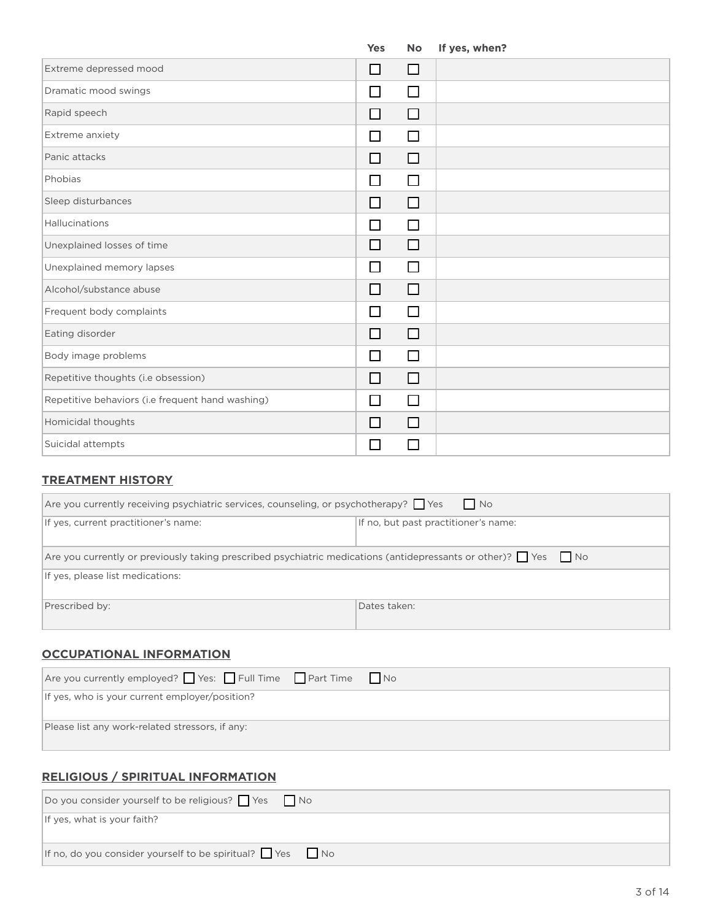|                                                  | Yes                         | <b>No</b> | If yes, when? |
|--------------------------------------------------|-----------------------------|-----------|---------------|
| Extreme depressed mood                           | $\Box$                      | $\Box$    |               |
| Dramatic mood swings                             | П                           | $\Box$    |               |
| Rapid speech                                     | П                           | □         |               |
| Extreme anxiety                                  |                             | $\Box$    |               |
| Panic attacks                                    | П                           | □         |               |
| Phobias                                          | $\sim$                      | $\Box$    |               |
| Sleep disturbances                               | $\Box$                      | □         |               |
| Hallucinations                                   | $\mathcal{L}_{\mathcal{A}}$ | П         |               |
| Unexplained losses of time                       | П                           | □         |               |
| Unexplained memory lapses                        | $\mathsf{L}$                | $\Box$    |               |
| Alcohol/substance abuse                          | П                           | □         |               |
| Frequent body complaints                         | П                           | $\Box$    |               |
| Eating disorder                                  | П                           | $\Box$    |               |
| Body image problems                              | $\sim$                      | $\Box$    |               |
| Repetitive thoughts (i.e obsession)              | $\mathsf{L}$                | ⊔         |               |
| Repetitive behaviors (i.e frequent hand washing) | $\mathbf{I}$                | $\Box$    |               |
| Homicidal thoughts                               |                             | ΙI        |               |
| Suicidal attempts                                |                             | П         |               |

## **TREATMENT HISTORY**

| N <sub>o</sub><br>Are you currently receiving psychiatric services, counseling, or psychotherapy? Pes                      |                                      |  |
|----------------------------------------------------------------------------------------------------------------------------|--------------------------------------|--|
| If yes, current practitioner's name:                                                                                       | If no, but past practitioner's name: |  |
| Are you currently or previously taking prescribed psychiatric medications (antidepressants or other)? $\Box$ Yes $\Box$ No |                                      |  |
| If yes, please list medications:                                                                                           |                                      |  |
| Prescribed by:                                                                                                             | Dates taken:                         |  |

# **OCCUPATIONAL INFORMATION**

| $ $ Are you currently employed? $\Box$ Yes: $\Box$ Full Time $\Box$ Part Time $\Box$ No |
|-----------------------------------------------------------------------------------------|
| If yes, who is your current employer/position?                                          |
| Please list any work-related stressors, if any:                                         |

# **RELIGIOUS / SPIRITUAL INFORMATION**

| Do you consider yourself to be religious? Yes No                      |  |  |
|-----------------------------------------------------------------------|--|--|
| If yes, what is your faith?                                           |  |  |
|                                                                       |  |  |
| If no, do you consider yourself to be spiritual? $\Box$ Yes $\Box$ No |  |  |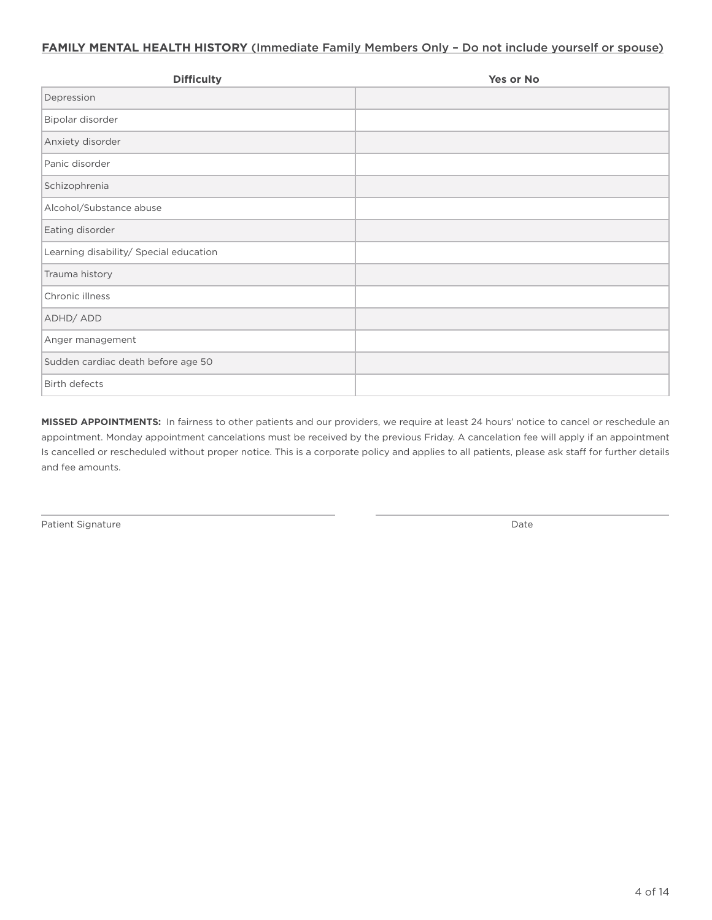## **FAMILY MENTAL HEALTH HISTORY** (Immediate Family Members Only - Do not include yourself or spouse)

| <b>Difficulty</b>                      | Yes or No |
|----------------------------------------|-----------|
| Depression                             |           |
| Bipolar disorder                       |           |
| Anxiety disorder                       |           |
| Panic disorder                         |           |
| Schizophrenia                          |           |
| Alcohol/Substance abuse                |           |
| Eating disorder                        |           |
| Learning disability/ Special education |           |
| Trauma history                         |           |
| Chronic illness                        |           |
| ADHD/ADD                               |           |
| Anger management                       |           |
| Sudden cardiac death before age 50     |           |
| <b>Birth defects</b>                   |           |

**MISSED APPOINTMENTS:** In fairness to other patients and our providers, we require at least 24 hours' notice to cancel or reschedule an appointment. Monday appointment cancelations must be received by the previous Friday. A cancelation fee will apply if an appointment Is cancelled or rescheduled without proper notice. This is a corporate policy and applies to all patients, please ask staff for further details and fee amounts.

Patient Signature Date of the Date of the United States of the Date of the Date of the Date of the Date of the Date of the Date of the Date of the Date of the Date of the Date of the Date of the Date of the Date of the Dat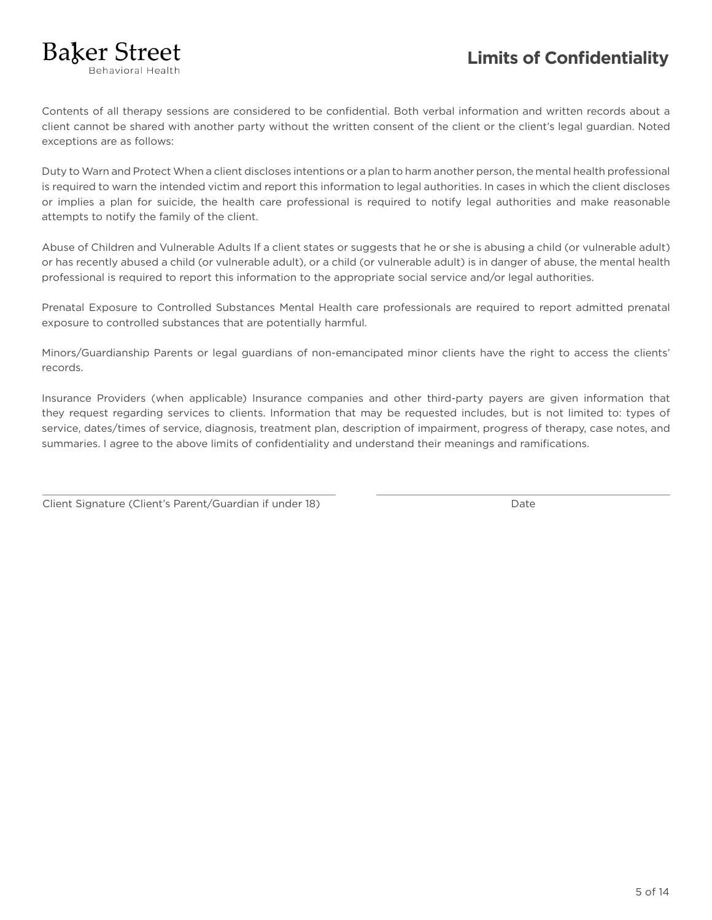# **Limits of Confidentiality**

Rebavioral Health

**Baker Street** 

Contents of all therapy sessions are considered to be confidential. Both verbal information and written records about a client cannot be shared with another party without the written consent of the client or the client's legal guardian. Noted exceptions are as follows:

Duty to Warn and Protect When a client discloses intentions or a plan to harm another person, the mental health professional is required to warn the intended victim and report this information to legal authorities. In cases in which the client discloses or implies a plan for suicide, the health care professional is required to notify legal authorities and make reasonable attempts to notify the family of the client.

Abuse of Children and Vulnerable Adults If a client states or suggests that he or she is abusing a child (or vulnerable adult) or has recently abused a child (or vulnerable adult), or a child (or vulnerable adult) is in danger of abuse, the mental health professional is required to report this information to the appropriate social service and/or legal authorities.

Prenatal Exposure to Controlled Substances Mental Health care professionals are required to report admitted prenatal exposure to controlled substances that are potentially harmful.

Minors/Guardianship Parents or legal guardians of non-emancipated minor clients have the right to access the clients' records.

Insurance Providers (when applicable) Insurance companies and other third-party payers are given information that they request regarding services to clients. Information that may be requested includes, but is not limited to: types of service, dates/times of service, diagnosis, treatment plan, description of impairment, progress of therapy, case notes, and summaries. I agree to the above limits of confidentiality and understand their meanings and ramifications.

|  | Client Signature (Client's Parent/Guardian if under 18) | Date |
|--|---------------------------------------------------------|------|
|--|---------------------------------------------------------|------|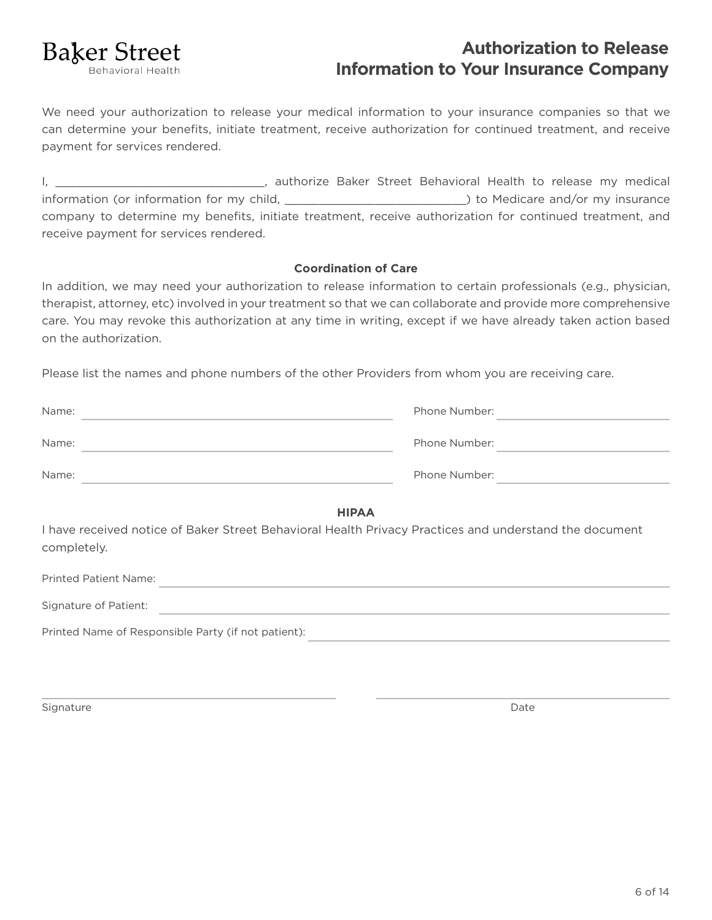

# **Authorization to Release Information to Your Insurance Company**

We need your authorization to release your medical information to your insurance companies so that we can determine your benefits, initiate treatment, receive authorization for continued treatment, and receive payment for services rendered.

I, \_\_\_\_\_\_\_\_\_\_\_\_\_\_\_\_\_\_\_\_\_\_\_\_\_\_\_\_\_\_\_\_, authorize Baker Street Behavioral Health to release my medical information (or information for my child, \_\_\_\_\_\_\_\_\_\_\_\_\_\_\_\_\_\_\_\_\_\_\_\_\_\_) to Medicare and/or my insurance company to determine my benefits, initiate treatment, receive authorization for continued treatment, and receive payment for services rendered.

## **Coordination of Care**

In addition, we may need your authorization to release information to certain professionals (e.g., physician, therapist, attorney, etc) involved in your treatment so that we can collaborate and provide more comprehensive care. You may revoke this authorization at any time in writing, except if we have already taken action based on the authorization.

Please list the names and phone numbers of the other Providers from whom you are receiving care.

| Name: | Phone Number: |
|-------|---------------|
| Name: | Phone Number: |
| Name: | Phone Number: |

**HIPAA**

I have received notice of Baker Street Behavioral Health Privacy Practices and understand the document completely.

| Printed Patient Name: |                                                     |  |
|-----------------------|-----------------------------------------------------|--|
| Signature of Patient: |                                                     |  |
|                       | Printed Name of Responsible Party (if not patient): |  |

Signature **Date of the Contract of Contract Contract of Contract Oriental Contract Oriental Contract Oriental Co**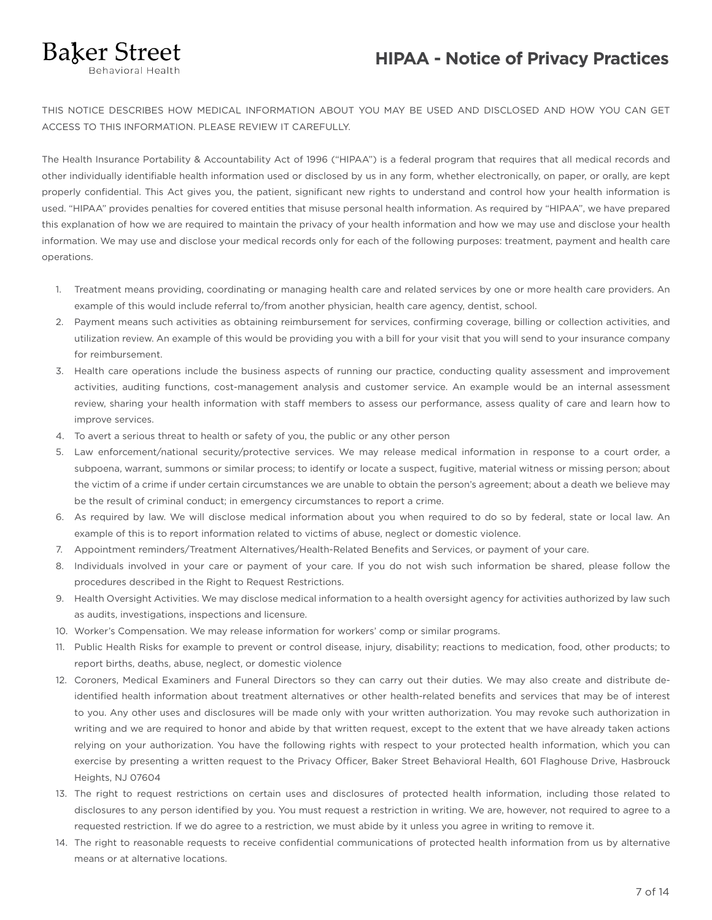# **HIPAA - Notice of Privacy Practices**

**Baker Street** 

THIS NOTICE DESCRIBES HOW MEDICAL INFORMATION ABOUT YOU MAY BE USED AND DISCLOSED AND HOW YOU CAN GET ACCESS TO THIS INFORMATION. PLEASE REVIEW IT CAREFULLY.

The Health Insurance Portability & Accountability Act of 1996 ("HIPAA") is a federal program that requires that all medical records and other individually identifiable health information used or disclosed by us in any form, whether electronically, on paper, or orally, are kept properly confidential. This Act gives you, the patient, significant new rights to understand and control how your health information is used. "HIPAA" provides penalties for covered entities that misuse personal health information. As required by "HIPAA", we have prepared this explanation of how we are required to maintain the privacy of your health information and how we may use and disclose your health information. We may use and disclose your medical records only for each of the following purposes: treatment, payment and health care operations.

- 1. Treatment means providing, coordinating or managing health care and related services by one or more health care providers. An example of this would include referral to/from another physician, health care agency, dentist, school.
- 2. Payment means such activities as obtaining reimbursement for services, confirming coverage, billing or collection activities, and utilization review. An example of this would be providing you with a bill for your visit that you will send to your insurance company for reimbursement.
- 3. Health care operations include the business aspects of running our practice, conducting quality assessment and improvement activities, auditing functions, cost-management analysis and customer service. An example would be an internal assessment review, sharing your health information with staff members to assess our performance, assess quality of care and learn how to improve services.
- 4. To avert a serious threat to health or safety of you, the public or any other person
- 5. Law enforcement/national security/protective services. We may release medical information in response to a court order, a subpoena, warrant, summons or similar process; to identify or locate a suspect, fugitive, material witness or missing person; about the victim of a crime if under certain circumstances we are unable to obtain the person's agreement; about a death we believe may be the result of criminal conduct; in emergency circumstances to report a crime.
- 6. As required by law. We will disclose medical information about you when required to do so by federal, state or local law. An example of this is to report information related to victims of abuse, neglect or domestic violence.
- 7. Appointment reminders/Treatment Alternatives/Health-Related Benefits and Services, or payment of your care.
- 8. Individuals involved in your care or payment of your care. If you do not wish such information be shared, please follow the procedures described in the Right to Request Restrictions.
- 9. Health Oversight Activities. We may disclose medical information to a health oversight agency for activities authorized by law such as audits, investigations, inspections and licensure.
- 10. Worker's Compensation. We may release information for workers' comp or similar programs.
- 11. Public Health Risks for example to prevent or control disease, injury, disability; reactions to medication, food, other products; to report births, deaths, abuse, neglect, or domestic violence
- 12. Coroners, Medical Examiners and Funeral Directors so they can carry out their duties. We may also create and distribute deidentified health information about treatment alternatives or other health-related benefits and services that may be of interest to you. Any other uses and disclosures will be made only with your written authorization. You may revoke such authorization in writing and we are required to honor and abide by that written request, except to the extent that we have already taken actions relying on your authorization. You have the following rights with respect to your protected health information, which you can exercise by presenting a written request to the Privacy Officer, Baker Street Behavioral Health, 601 Flaghouse Drive, Hasbrouck Heights, NJ 07604
- 13. The right to request restrictions on certain uses and disclosures of protected health information, including those related to disclosures to any person identified by you. You must request a restriction in writing. We are, however, not required to agree to a requested restriction. If we do agree to a restriction, we must abide by it unless you agree in writing to remove it.
- 14. The right to reasonable requests to receive confidential communications of protected health information from us by alternative means or at alternative locations.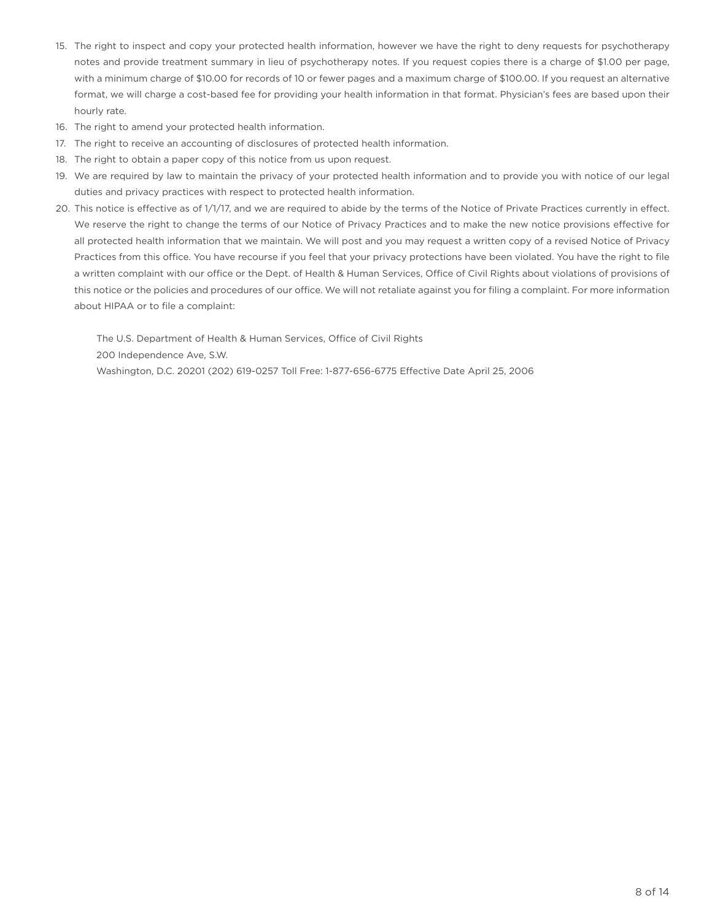- 15. The right to inspect and copy your protected health information, however we have the right to deny requests for psychotherapy notes and provide treatment summary in lieu of psychotherapy notes. If you request copies there is a charge of \$1.00 per page, with a minimum charge of \$10.00 for records of 10 or fewer pages and a maximum charge of \$100.00. If you request an alternative format, we will charge a cost-based fee for providing your health information in that format. Physician's fees are based upon their hourly rate.
- 16. The right to amend your protected health information.
- 17. The right to receive an accounting of disclosures of protected health information.
- 18. The right to obtain a paper copy of this notice from us upon request.
- 19. We are required by law to maintain the privacy of your protected health information and to provide you with notice of our legal duties and privacy practices with respect to protected health information.
- 20. This notice is effective as of 1/1/17, and we are required to abide by the terms of the Notice of Private Practices currently in effect. We reserve the right to change the terms of our Notice of Privacy Practices and to make the new notice provisions effective for all protected health information that we maintain. We will post and you may request a written copy of a revised Notice of Privacy Practices from this office. You have recourse if you feel that your privacy protections have been violated. You have the right to file a written complaint with our office or the Dept. of Health & Human Services, Office of Civil Rights about violations of provisions of this notice or the policies and procedures of our office. We will not retaliate against you for filing a complaint. For more information about HIPAA or to file a complaint:

The U.S. Department of Health & Human Services, Office of Civil Rights 200 Independence Ave, S.W. Washington, D.C. 20201 (202) 619-0257 Toll Free: 1-877-656-6775 Effective Date April 25, 2006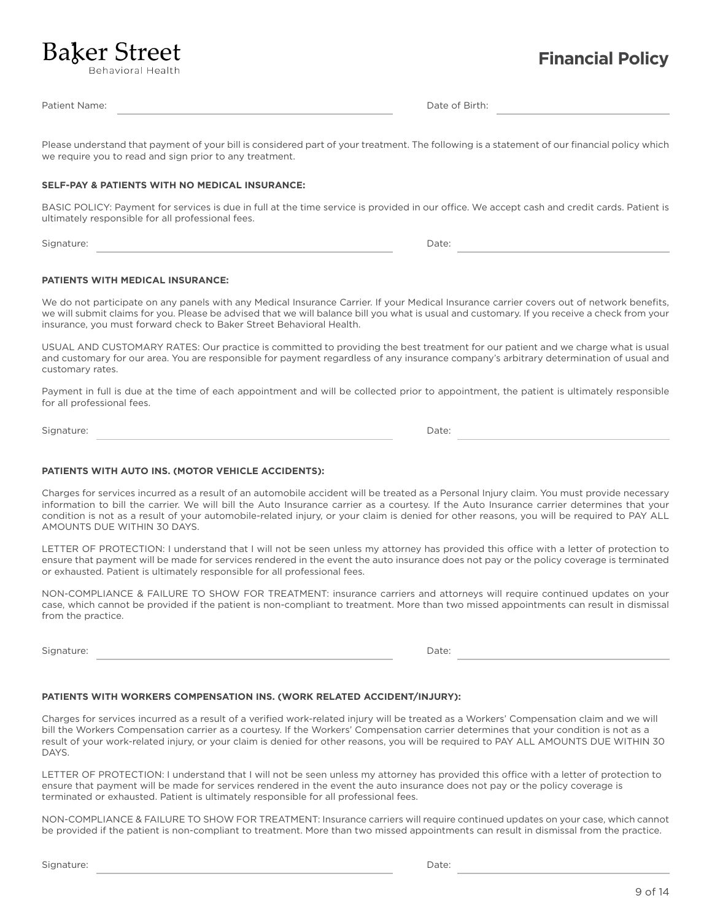Signature:

Date:

# 9 of 14

# **Financial Policy**

Behavioral Health

**Baker Street** 

Patient Name:

Date of Birth:

Please understand that payment of your bill is considered part of your treatment. The following is a statement of our financial policy which we require you to read and sign prior to any treatment.

#### **SELF-PAY & PATIENTS WITH NO MEDICAL INSURANCE:**

BASIC POLICY: Payment for services is due in full at the time service is provided in our office. We accept cash and credit cards. Patient is ultimately responsible for all professional fees.

Signature:

Date:

#### **PATIENTS WITH MEDICAL INSURANCE:**

We do not participate on any panels with any Medical Insurance Carrier. If your Medical Insurance carrier covers out of network benefits, we will submit claims for you. Please be advised that we will balance bill you what is usual and customary. If you receive a check from your insurance, you must forward check to Baker Street Behavioral Health.

USUAL AND CUSTOMARY RATES: Our practice is committed to providing the best treatment for our patient and we charge what is usual and customary for our area. You are responsible for payment regardless of any insurance company's arbitrary determination of usual and customary rates.

Payment in full is due at the time of each appointment and will be collected prior to appointment, the patient is ultimately responsible for all professional fees.

Signature: when the state of the state of the state of the state of the state of the state of the state of the state of the state of the state of the state of the state of the state of the state of the state of the state o

#### **PATIENTS WITH AUTO INS. (MOTOR VEHICLE ACCIDENTS):**

Charges for services incurred as a result of an automobile accident will be treated as a Personal Injury claim. You must provide necessary information to bill the carrier. We will bill the Auto Insurance carrier as a courtesy. If the Auto Insurance carrier determines that your condition is not as a result of your automobile-related injury, or your claim is denied for other reasons, you will be required to PAY ALL AMOUNTS DUE WITHIN 30 DAYS.

LETTER OF PROTECTION: I understand that I will not be seen unless my attorney has provided this office with a letter of protection to ensure that payment will be made for services rendered in the event the auto insurance does not pay or the policy coverage is terminated or exhausted. Patient is ultimately responsible for all professional fees.

NON-COMPLIANCE & FAILURE TO SHOW FOR TREATMENT: insurance carriers and attorneys will require continued updates on your case, which cannot be provided if the patient is non-compliant to treatment. More than two missed appointments can result in dismissal from the practice.

Signature:

#### **PATIENTS WITH WORKERS COMPENSATION INS. (WORK RELATED ACCIDENT/INJURY):**

Charges for services incurred as a result of a verified work-related injury will be treated as a Workers' Compensation claim and we will bill the Workers Compensation carrier as a courtesy. If the Workers' Compensation carrier determines that your condition is not as a result of your work-related injury, or your claim is denied for other reasons, you will be required to PAY ALL AMOUNTS DUE WITHIN 30 DAYS.

LETTER OF PROTECTION: I understand that I will not be seen unless my attorney has provided this office with a letter of protection to ensure that payment will be made for services rendered in the event the auto insurance does not pay or the policy coverage is terminated or exhausted. Patient is ultimately responsible for all professional fees.

NON-COMPLIANCE & FAILURE TO SHOW FOR TREATMENT: Insurance carriers will require continued updates on your case, which cannot be provided if the patient is non-compliant to treatment. More than two missed appointments can result in dismissal from the practice.

Date:

Date: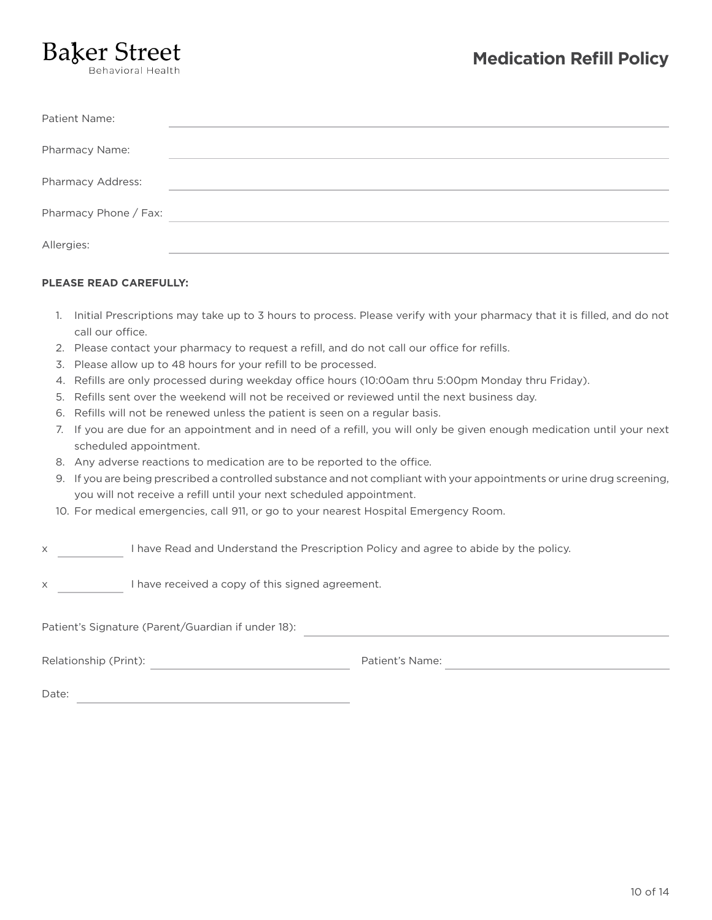# **Baker Street**

| Patient Name:         |  |
|-----------------------|--|
| Pharmacy Name:        |  |
| Pharmacy Address:     |  |
| Pharmacy Phone / Fax: |  |
| Allergies:            |  |

### **PLEASE READ CAREFULLY:**

- 1. Initial Prescriptions may take up to 3 hours to process. Please verify with your pharmacy that it is filled, and do not call our office.
- 2. Please contact your pharmacy to request a refill, and do not call our office for refills.
- 3. Please allow up to 48 hours for your refill to be processed.
- 4. Refills are only processed during weekday office hours (10:00am thru 5:00pm Monday thru Friday).
- 5. Refills sent over the weekend will not be received or reviewed until the next business day.
- 6. Refills will not be renewed unless the patient is seen on a regular basis.
- 7. If you are due for an appointment and in need of a refill, you will only be given enough medication until your next scheduled appointment.
- 8. Any adverse reactions to medication are to be reported to the office.
- 9. If you are being prescribed a controlled substance and not compliant with your appointments or urine drug screening, you will not receive a refill until your next scheduled appointment.
- 10. For medical emergencies, call 911, or go to your nearest Hospital Emergency Room.

#### x I have Read and Understand the Prescription Policy and agree to abide by the policy.

x I have received a copy of this signed agreement.

Patient's Signature (Parent/Guardian if under 18):

Relationship (Print): Patient's Name:

Date: when the contract of the contract of the contract of the contract of the contract of the contract of the contract of the contract of the contract of the contract of the contract of the contract of the contract of the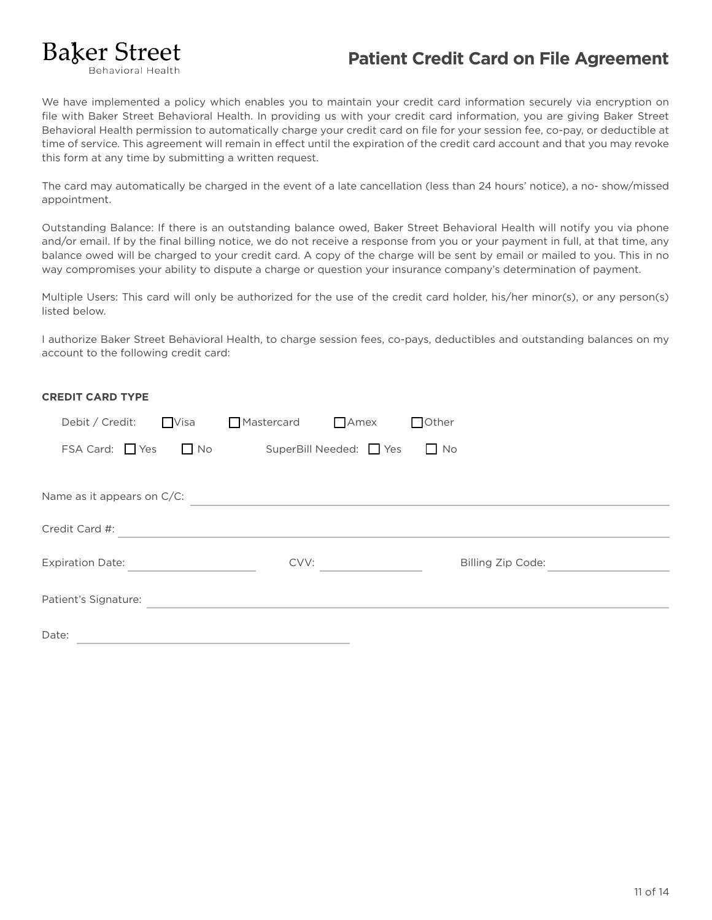# **Baker Street Behavioral Health**

# **Patient Credit Card on File Agreement**

We have implemented a policy which enables you to maintain your credit card information securely via encryption on file with Baker Street Behavioral Health. In providing us with your credit card information, you are giving Baker Street Behavioral Health permission to automatically charge your credit card on file for your session fee, co-pay, or deductible at time of service. This agreement will remain in effect until the expiration of the credit card account and that you may revoke this form at any time by submitting a written request.

The card may automatically be charged in the event of a late cancellation (less than 24 hours' notice), a no- show/missed appointment.

Outstanding Balance: If there is an outstanding balance owed, Baker Street Behavioral Health will notify you via phone and/or email. If by the final billing notice, we do not receive a response from you or your payment in full, at that time, any balance owed will be charged to your credit card. A copy of the charge will be sent by email or mailed to you. This in no way compromises your ability to dispute a charge or question your insurance company's determination of payment.

Multiple Users: This card will only be authorized for the use of the credit card holder, his/her minor(s), or any person(s) listed below.

I authorize Baker Street Behavioral Health, to charge session fees, co-pays, deductibles and outstanding balances on my account to the following credit card:

| <b>CREDIT CARD TYPE</b>    |                                                                                                                        |                         |                   |  |
|----------------------------|------------------------------------------------------------------------------------------------------------------------|-------------------------|-------------------|--|
| Debit / Credit:            | <b>Visa</b>                                                                                                            | Mastercard Amex         | $\Box$ Other      |  |
| $FSA Card:$ $Yes$ $No$     |                                                                                                                        | SuperBill Needed: □ Yes | $\Box$ No         |  |
|                            |                                                                                                                        |                         |                   |  |
| Name as it appears on C/C: |                                                                                                                        |                         |                   |  |
| Credit Card #:             | <u> 1989 - Andrea State Barbara, amerikan personal personal personal personal personal personal personal personal </u> |                         |                   |  |
|                            |                                                                                                                        | CVV:                    | Billing Zip Code: |  |
| Patient's Signature:       |                                                                                                                        |                         |                   |  |
| Date:                      |                                                                                                                        |                         |                   |  |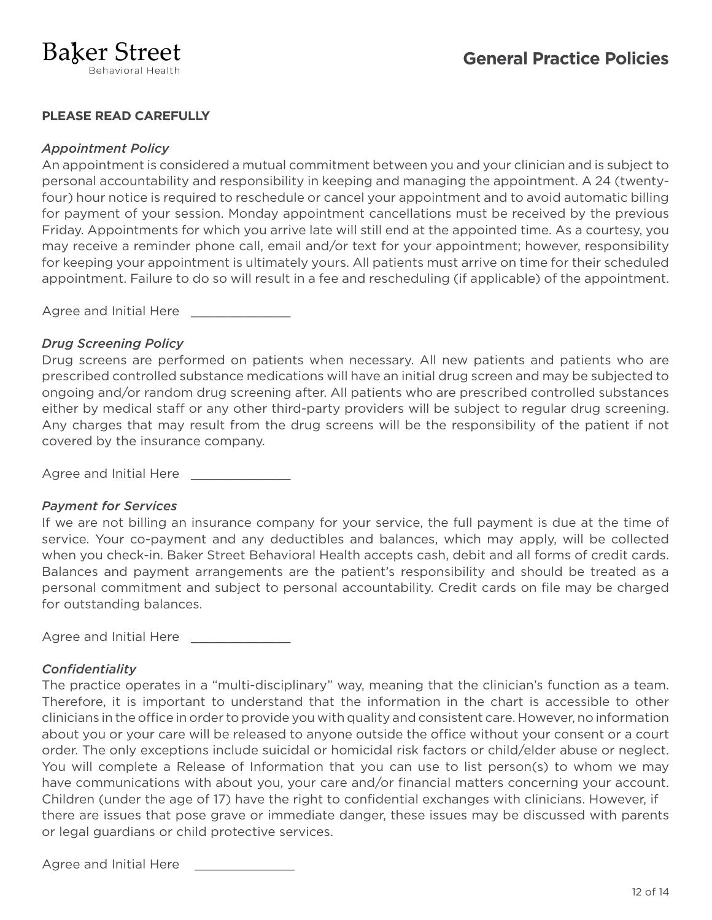# **PLEASE READ CAREFULLY**

## *Appointment Policy*

An appointment is considered a mutual commitment between you and your clinician and is subject to personal accountability and responsibility in keeping and managing the appointment. A 24 (twentyfour) hour notice is required to reschedule or cancel your appointment and to avoid automatic billing for payment of your session. Monday appointment cancellations must be received by the previous Friday. Appointments for which you arrive late will still end at the appointed time. As a courtesy, you may receive a reminder phone call, email and/or text for your appointment; however, responsibility for keeping your appointment is ultimately yours. All patients must arrive on time for their scheduled appointment. Failure to do so will result in a fee and rescheduling (if applicable) of the appointment.

Agree and Initial Here

## *Drug Screening Policy*

Drug screens are performed on patients when necessary. All new patients and patients who are prescribed controlled substance medications will have an initial drug screen and may be subjected to ongoing and/or random drug screening after. All patients who are prescribed controlled substances either by medical staff or any other third-party providers will be subject to regular drug screening. Any charges that may result from the drug screens will be the responsibility of the patient if not covered by the insurance company.

Agree and Initial Here

## *Payment for Services*

If we are not billing an insurance company for your service, the full payment is due at the time of service. Your co-payment and any deductibles and balances, which may apply, will be collected when you check-in. Baker Street Behavioral Health accepts cash, debit and all forms of credit cards. Balances and payment arrangements are the patient's responsibility and should be treated as a personal commitment and subject to personal accountability. Credit cards on file may be charged for outstanding balances.

Agree and Initial Here \_

# *Confidentiality*

The practice operates in a "multi-disciplinary" way, meaning that the clinician's function as a team. Therefore, it is important to understand that the information in the chart is accessible to other clinicians in the office in order to provide you with quality and consistent care. However, no information about you or your care will be released to anyone outside the office without your consent or a court order. The only exceptions include suicidal or homicidal risk factors or child/elder abuse or neglect. You will complete a Release of Information that you can use to list person(s) to whom we may have communications with about you, your care and/or financial matters concerning your account. Children (under the age of 17) have the right to confidential exchanges with clinicians. However, if there are issues that pose grave or immediate danger, these issues may be discussed with parents or legal guardians or child protective services.

Agree and Initial Here \_\_\_\_\_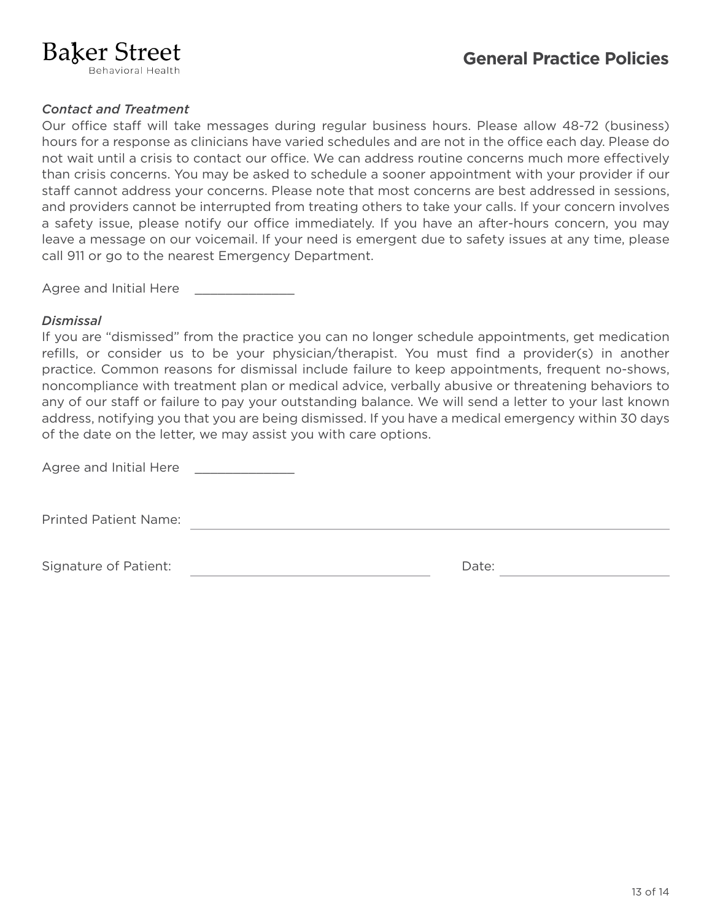# **Baker Street**

# *Contact and Treatment*

Our office staff will take messages during regular business hours. Please allow 48-72 (business) hours for a response as clinicians have varied schedules and are not in the office each day. Please do not wait until a crisis to contact our office. We can address routine concerns much more effectively than crisis concerns. You may be asked to schedule a sooner appointment with your provider if our staff cannot address your concerns. Please note that most concerns are best addressed in sessions, and providers cannot be interrupted from treating others to take your calls. If your concern involves a safety issue, please notify our office immediately. If you have an after-hours concern, you may leave a message on our voicemail. If your need is emergent due to safety issues at any time, please call 911 or go to the nearest Emergency Department.

Agree and Initial Here

## *Dismissal*

If you are "dismissed" from the practice you can no longer schedule appointments, get medication refills, or consider us to be your physician/therapist. You must find a provider(s) in another practice. Common reasons for dismissal include failure to keep appointments, frequent no-shows, noncompliance with treatment plan or medical advice, verbally abusive or threatening behaviors to any of our staff or failure to pay your outstanding balance. We will send a letter to your last known address, notifying you that you are being dismissed. If you have a medical emergency within 30 days of the date on the letter, we may assist you with care options.

Agree and Initial Here

Printed Patient Name:

Signature of Patient:  $\Box$  Date: Date: Date: Date: Date: Date: Date: Date: Date: Date: Date: Date: Date: Date:  $\Box$